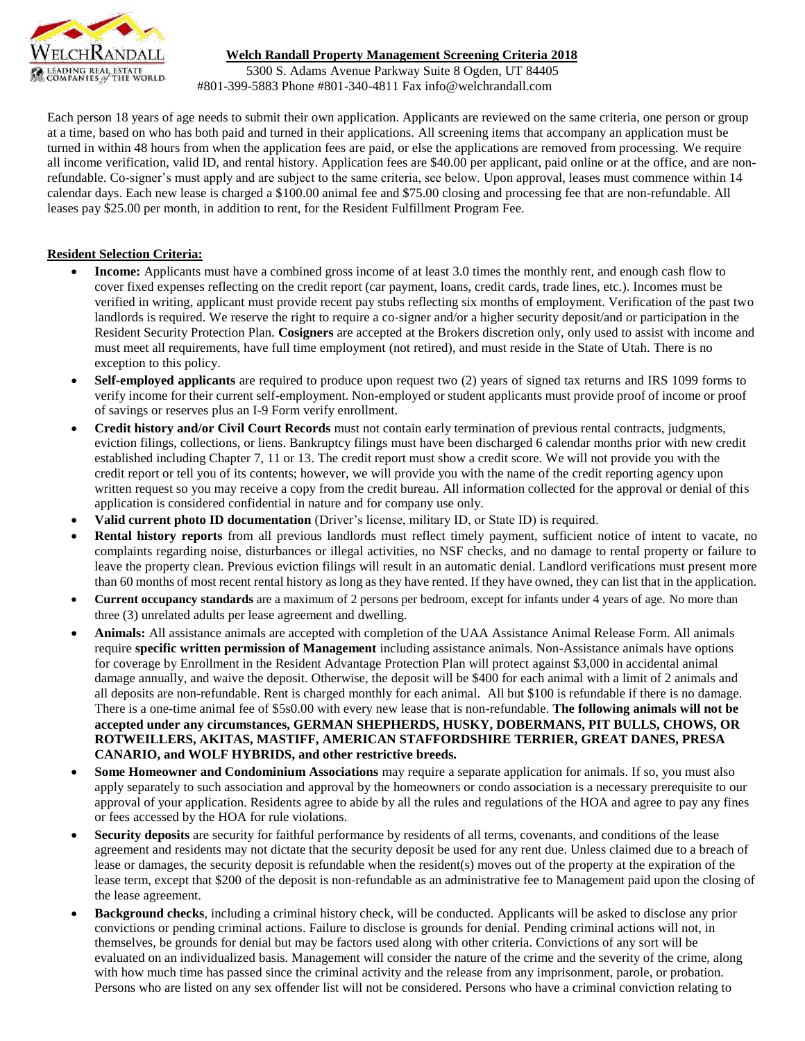

## **Welch Randall Property Management Screening Criteria 2018**

5300 S. Adams Avenue Parkway Suite 8 Ogden, UT 84405 #801-399-5883 Phone #801-340-4811 Fax info@welchrandall.com

Each person 18 years of age needs to submit their own application. Applicants are reviewed on the same criteria, one person or group at a time, based on who has both paid and turned in their applications. All screening items that accompany an application must be turned in within 48 hours from when the application fees are paid, or else the applications are removed from processing. We require all income verification, valid ID, and rental history. Application fees are \$40.00 per applicant, paid online or at the office, and are nonrefundable. Co-signer's must apply and are subject to the same criteria, see below. Upon approval, leases must commence within 14 calendar days. Each new lease is charged a \$100.00 animal fee and \$75.00 closing and processing fee that are non-refundable. All leases pay \$25.00 per month, in addition to rent, for the Resident Fulfillment Program Fee.

## **Resident Selection Criteria:**

- **Income:** Applicants must have a combined gross income of at least 3.0 times the monthly rent, and enough cash flow to cover fixed expenses reflecting on the credit report (car payment, loans, credit cards, trade lines, etc.). Incomes must be verified in writing, applicant must provide recent pay stubs reflecting six months of employment. Verification of the past two landlords is required. We reserve the right to require a co-signer and/or a higher security deposit/and or participation in the Resident Security Protection Plan. **Cosigners** are accepted at the Brokers discretion only, only used to assist with income and must meet all requirements, have full time employment (not retired), and must reside in the State of Utah. There is no exception to this policy.
- **Self-employed applicants** are required to produce upon request two (2) years of signed tax returns and IRS 1099 forms to verify income for their current self-employment. Non-employed or student applicants must provide proof of income or proof of savings or reserves plus an I-9 Form verify enrollment.
- **Credit history and/or Civil Court Records** must not contain early termination of previous rental contracts, judgments, eviction filings, collections, or liens. Bankruptcy filings must have been discharged 6 calendar months prior with new credit established including Chapter 7, 11 or 13. The credit report must show a credit score. We will not provide you with the credit report or tell you of its contents; however, we will provide you with the name of the credit reporting agency upon written request so you may receive a copy from the credit bureau. All information collected for the approval or denial of this application is considered confidential in nature and for company use only.
- **Valid current photo ID documentation** (Driver's license, military ID, or State ID) is required.
- **Rental history reports** from all previous landlords must reflect timely payment, sufficient notice of intent to vacate, no complaints regarding noise, disturbances or illegal activities, no NSF checks, and no damage to rental property or failure to leave the property clean. Previous eviction filings will result in an automatic denial. Landlord verifications must present more than 60 months of most recent rental history as long as they have rented. If they have owned, they can list that in the application.
- **Current occupancy standards** are a maximum of 2 persons per bedroom, except for infants under 4 years of age. No more than three (3) unrelated adults per lease agreement and dwelling.
- **Animals:** All assistance animals are accepted with completion of the UAA Assistance Animal Release Form. All animals require **specific written permission of Management** including assistance animals. Non-Assistance animals have options for coverage by Enrollment in the Resident Advantage Protection Plan will protect against \$3,000 in accidental animal damage annually, and waive the deposit. Otherwise, the deposit will be \$400 for each animal with a limit of 2 animals and all deposits are non-refundable. Rent is charged monthly for each animal. All but \$100 is refundable if there is no damage. There is a one-time animal fee of \$5s0.00 with every new lease that is non-refundable. **The following animals will not be accepted under any circumstances, GERMAN SHEPHERDS, HUSKY, DOBERMANS, PIT BULLS, CHOWS, OR ROTWEILLERS, AKITAS, MASTIFF, AMERICAN STAFFORDSHIRE TERRIER, GREAT DANES, PRESA CANARIO, and WOLF HYBRIDS, and other restrictive breeds.**
- **Some Homeowner and Condominium Associations** may require a separate application for animals. If so, you must also apply separately to such association and approval by the homeowners or condo association is a necessary prerequisite to our approval of your application. Residents agree to abide by all the rules and regulations of the HOA and agree to pay any fines or fees accessed by the HOA for rule violations.
- Security deposits are security for faithful performance by residents of all terms, covenants, and conditions of the lease agreement and residents may not dictate that the security deposit be used for any rent due. Unless claimed due to a breach of lease or damages, the security deposit is refundable when the resident(s) moves out of the property at the expiration of the lease term, except that \$200 of the deposit is non-refundable as an administrative fee to Management paid upon the closing of the lease agreement.
- **Background checks**, including a criminal history check, will be conducted. Applicants will be asked to disclose any prior convictions or pending criminal actions. Failure to disclose is grounds for denial. Pending criminal actions will not, in themselves, be grounds for denial but may be factors used along with other criteria. Convictions of any sort will be evaluated on an individualized basis. Management will consider the nature of the crime and the severity of the crime, along with how much time has passed since the criminal activity and the release from any imprisonment, parole, or probation. Persons who are listed on any sex offender list will not be considered. Persons who have a criminal conviction relating to